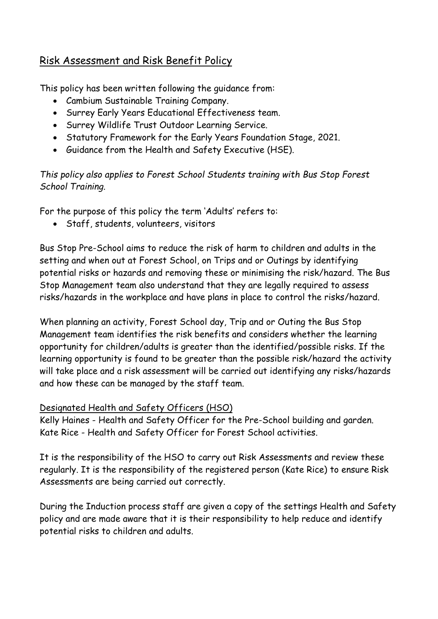## Risk Assessment and Risk Benefit Policy

This policy has been written following the guidance from:

- Cambium Sustainable Training Company.
- Surrey Early Years Educational Effectiveness team.
- Surrey Wildlife Trust Outdoor Learning Service.
- Statutory Framework for the Early Years Foundation Stage, 2021.
- Guidance from the Health and Safety Executive (HSE).

*This policy also applies to Forest School Students training with Bus Stop Forest School Training.*

For the purpose of this policy the term 'Adults' refers to:

• Staff, students, volunteers, visitors

Bus Stop Pre-School aims to reduce the risk of harm to children and adults in the setting and when out at Forest School, on Trips and or Outings by identifying potential risks or hazards and removing these or minimising the risk/hazard. The Bus Stop Management team also understand that they are legally required to assess risks/hazards in the workplace and have plans in place to control the risks/hazard.

When planning an activity, Forest School day, Trip and or Outing the Bus Stop Management team identifies the risk benefits and considers whether the learning opportunity for children/adults is greater than the identified/possible risks. If the learning opportunity is found to be greater than the possible risk/hazard the activity will take place and a risk assessment will be carried out identifying any risks/hazards and how these can be managed by the staff team.

## Designated Health and Safety Officers (HSO)

Kelly Haines - Health and Safety Officer for the Pre-School building and garden. Kate Rice - Health and Safety Officer for Forest School activities.

It is the responsibility of the HSO to carry out Risk Assessments and review these regularly. It is the responsibility of the registered person (Kate Rice) to ensure Risk Assessments are being carried out correctly.

During the Induction process staff are given a copy of the settings Health and Safety policy and are made aware that it is their responsibility to help reduce and identify potential risks to children and adults.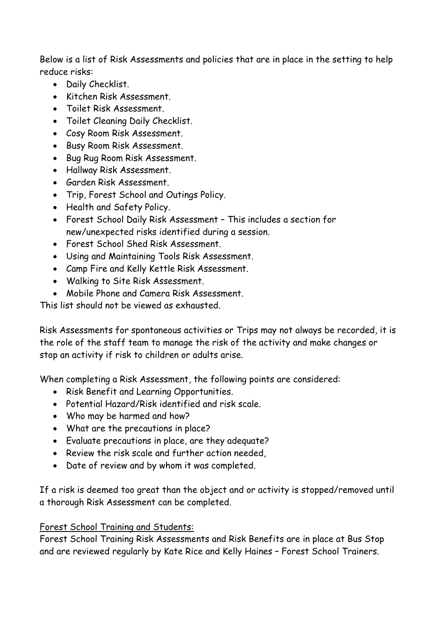Below is a list of Risk Assessments and policies that are in place in the setting to help reduce risks:

- Daily Checklist.
- Kitchen Risk Assessment.
- Toilet Risk Assessment.
- Toilet Cleaning Daily Checklist.
- Cosy Room Risk Assessment.
- Busy Room Risk Assessment.
- Bug Rug Room Risk Assessment.
- Hallway Risk Assessment.
- Garden Risk Assessment.
- Trip, Forest School and Outings Policy.
- Health and Safety Policy.
- Forest School Daily Risk Assessment This includes a section for new/unexpected risks identified during a session.
- Forest School Shed Risk Assessment.
- Using and Maintaining Tools Risk Assessment.
- Camp Fire and Kelly Kettle Risk Assessment.
- Walking to Site Risk Assessment.
- Mobile Phone and Camera Risk Assessment.

This list should not be viewed as exhausted.

Risk Assessments for spontaneous activities or Trips may not always be recorded, it is the role of the staff team to manage the risk of the activity and make changes or stop an activity if risk to children or adults arise.

When completing a Risk Assessment, the following points are considered:

- Risk Benefit and Learning Opportunities.
- Potential Hazard/Risk identified and risk scale.
- Who may be harmed and how?
- What are the precautions in place?
- Evaluate precautions in place, are they adequate?
- Review the risk scale and further action needed,
- Date of review and by whom it was completed.

If a risk is deemed too great than the object and or activity is stopped/removed until a thorough Risk Assessment can be completed.

## Forest School Training and Students:

Forest School Training Risk Assessments and Risk Benefits are in place at Bus Stop and are reviewed regularly by Kate Rice and Kelly Haines – Forest School Trainers.